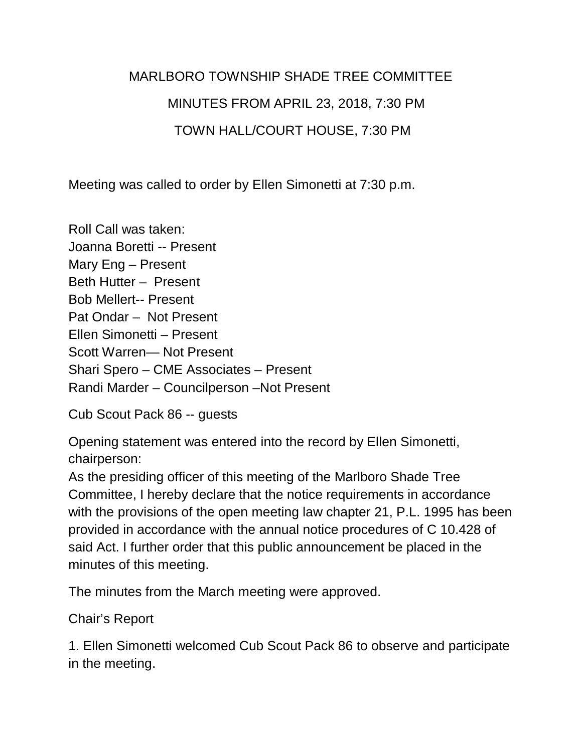## MARLBORO TOWNSHIP SHADE TREE COMMITTEE MINUTES FROM APRIL 23, 2018, 7:30 PM TOWN HALL/COURT HOUSE, 7:30 PM

Meeting was called to order by Ellen Simonetti at 7:30 p.m.

Roll Call was taken: Joanna Boretti -- Present Mary Eng – Present Beth Hutter – Present Bob Mellert-- Present Pat Ondar – Not Present Ellen Simonetti – Present Scott Warren— Not Present Shari Spero – CME Associates – Present Randi Marder – Councilperson –Not Present

Cub Scout Pack 86 -- guests

Opening statement was entered into the record by Ellen Simonetti, chairperson:

As the presiding officer of this meeting of the Marlboro Shade Tree Committee, I hereby declare that the notice requirements in accordance with the provisions of the open meeting law chapter 21, P.L. 1995 has been provided in accordance with the annual notice procedures of C 10.428 of said Act. I further order that this public announcement be placed in the minutes of this meeting.

The minutes from the March meeting were approved.

Chair's Report

1. Ellen Simonetti welcomed Cub Scout Pack 86 to observe and participate in the meeting.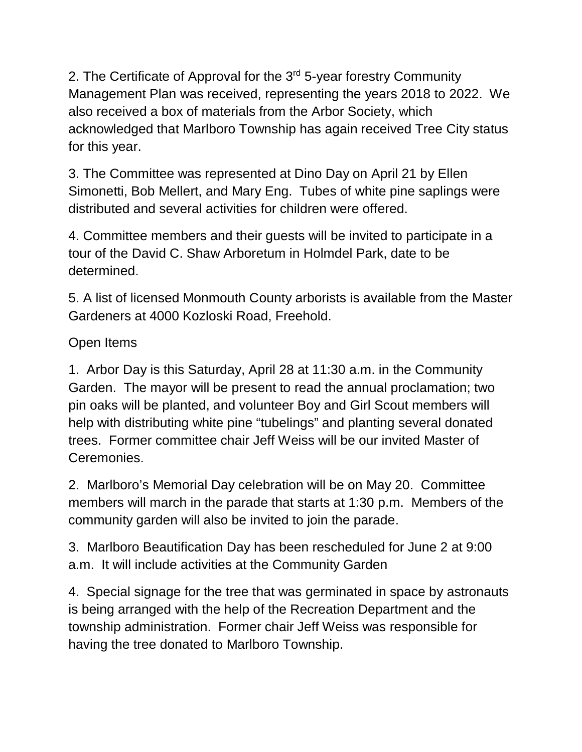2. The Certificate of Approval for the 3<sup>rd</sup> 5-year forestry Community Management Plan was received, representing the years 2018 to 2022. We also received a box of materials from the Arbor Society, which acknowledged that Marlboro Township has again received Tree City status for this year.

3. The Committee was represented at Dino Day on April 21 by Ellen Simonetti, Bob Mellert, and Mary Eng. Tubes of white pine saplings were distributed and several activities for children were offered.

4. Committee members and their guests will be invited to participate in a tour of the David C. Shaw Arboretum in Holmdel Park, date to be determined.

5. A list of licensed Monmouth County arborists is available from the Master Gardeners at 4000 Kozloski Road, Freehold.

## Open Items

1. Arbor Day is this Saturday, April 28 at 11:30 a.m. in the Community Garden. The mayor will be present to read the annual proclamation; two pin oaks will be planted, and volunteer Boy and Girl Scout members will help with distributing white pine "tubelings" and planting several donated trees. Former committee chair Jeff Weiss will be our invited Master of Ceremonies.

2. Marlboro's Memorial Day celebration will be on May 20. Committee members will march in the parade that starts at 1:30 p.m. Members of the community garden will also be invited to join the parade.

3. Marlboro Beautification Day has been rescheduled for June 2 at 9:00 a.m. It will include activities at the Community Garden

4. Special signage for the tree that was germinated in space by astronauts is being arranged with the help of the Recreation Department and the township administration. Former chair Jeff Weiss was responsible for having the tree donated to Marlboro Township.